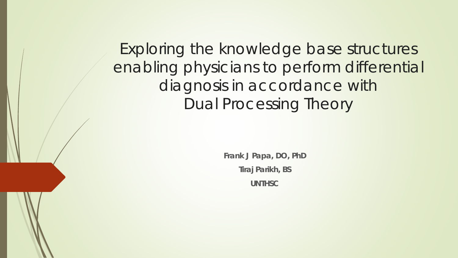Exploring the knowledge base structures enabling physicians to perform differential diagnosis in accordance with Dual Processing Theory

> **Frank J Papa, DO, PhD Tiraj Parikh, BS UNTHSC**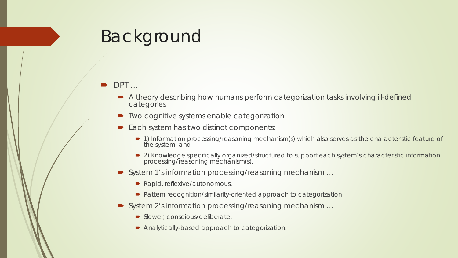# Background

#### DPT …

- A theory describing how humans perform categorization tasks involving ill-defined categories
- Two cognitive systems enable categorization
- Each system has two distinct components:
	- 1) Information processing/reasoning mechanism(s) which also serves as the characteristic feature of the system, and
	- 2) Knowledge specifically organized/structured to support each system's characteristic information processing/reasoning mechanism(s).
- System 1's information processing/reasoning mechanism ...
	- Rapid, reflexive/autonomous,
	- Pattern recognition/similarity-oriented approach to categorization,
- System 2's information processing/reasoning mechanism ...
	- Slower, conscious/deliberate,
	- Analytically-based approach to categorization.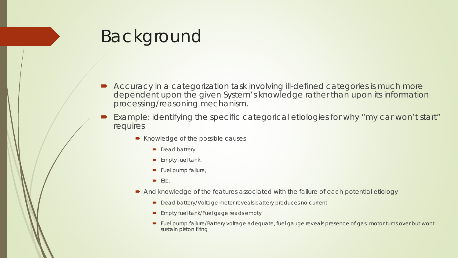# Background

- Accuracy in a categorization task involving ill-defined categories is much more dependent upon the given System's knowledge rather than upon its information processing/reasoning mechanism.
- Example: identifying the specific categorical etiologies for why "my car won't start" requires
	- $\blacksquare$  Knowledge of the possible causes
		- $\blacktriangleright$  Dead battery,
		- $\blacktriangleright$  Empty fuel tank,
		- Fuel pump failure,
		- $\blacktriangleright$  Etc.
	- And knowledge of the features associated with the failure of each potential etiology
		- Dead battery/Voltage meter reveals battery produces no current
		- **Empty fuel tank/Fuel gage reads empty**
		- Fuel pump failure/Battery voltage adequate, fuel gauge reveals presence of gas, motor turns over but wont sustain piston firing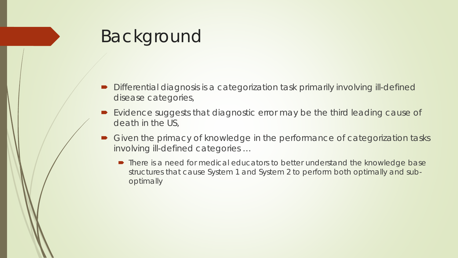# Background

- Differential diagnosis is a categorization task primarily involving ill-defined disease categories,
- Evidence suggests that diagnostic error may be the third leading cause of death in the US,
- Given the primacy of knowledge in the performance of categorization tasks involving ill-defined categories …
	- There is a need for medical educators to better understand the knowledge base structures that cause System 1 and System 2 to perform both optimally and suboptimally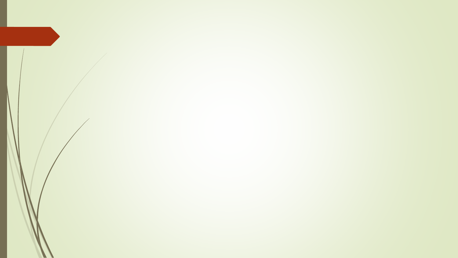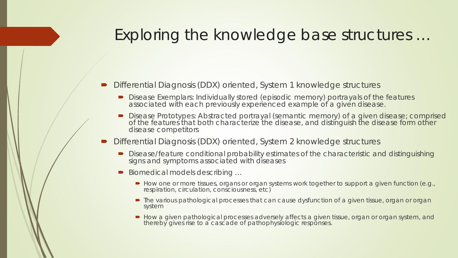- Differential Diagnosis (DDX) oriented, System 1 knowledge structures
	- **Disease Exemplars: Individually stored (episodic memory) portrayals of the features** associated with each previously experienced example of a given disease.
	- Disease Prototypes: Abstracted portrayal (semantic memory) of a given disease; comprised of the features that both characterize the disease, and distinguish the disease form other disease competitors
- Differential Diagnosis (DDX) oriented, System 2 knowledge structures
	- Disease/feature conditional probability estimates of the characteristic and distinguishing signs and symptoms associated with diseases
	- Biomedical models describing ...
		- How one or more tissues, organs or organ systems work together to support a given function (e.g., respiration, circulation, consciousness, etc)
		- The various pathological processes that can cause dysfunction of a given tissue, organ or organ system
		- How a given pathological processes adversely affects a given tissue, organ or organ system, and thereby gives rise to a cascade of pathophysiologic responses.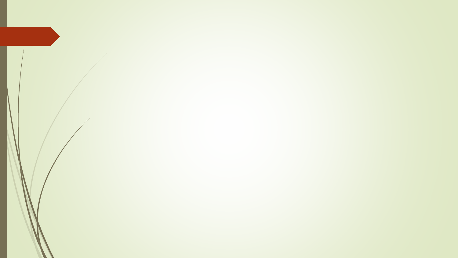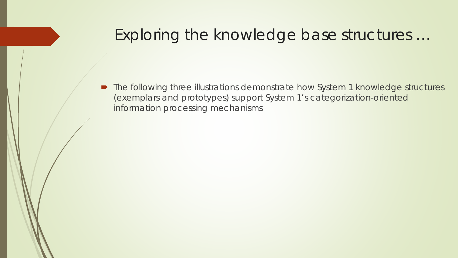• The following three illustrations demonstrate how System 1 knowledge structures (exemplars and prototypes) support System 1's categorization-oriented information processing mechanisms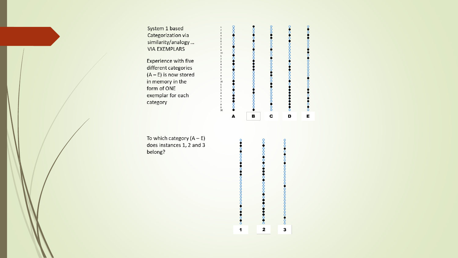System 1 based Categorization via similarity/analogy... **VIA EXEMPLARS** 

Experience with five different categories  $(A - E)$  is now stored in memory in the form of ONE exemplar for each category

20

 $\epsilon$ 

 $\mathbf s$  $\frac{9}{30}$ 



To which category  $(A - E)$ does instances 1, 2 and 3 belong?

8  $\overline{\mathbf{2}}$  $\mathbf 1$ 

 $\frac{1}{8}$  $\mathbf{3}$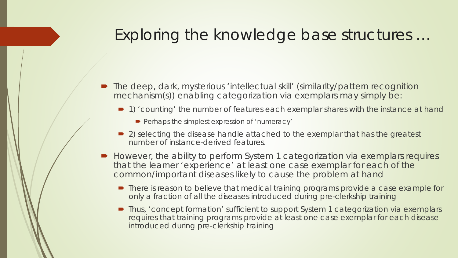- The deep, dark, mysterious 'intellectual skill' (similarity/pattern recognition mechanism(s)) enabling categorization via exemplars may simply be:
	- 1) 'counting' the number of features each exemplar shares with the instance at hand
		- Perhaps the simplest expression of 'numeracy'
	- 2) selecting the disease handle attached to the exemplar that has the greatest number of instance-derived features.
- However, the ability to perform System 1 categorization via exemplars requires that the learner 'experience' at least one case exemplar for each of the common/important diseases likely to cause the problem at hand
	- There is reason to believe that medical training programs provide a case example for only a fraction of all the diseases introduced during pre-clerkship training
	- Thus, 'concept formation' sufficient to support System 1 categorization via exemplars requires that training programs provide at least one case exemplar for each disease introduced during pre-clerkship training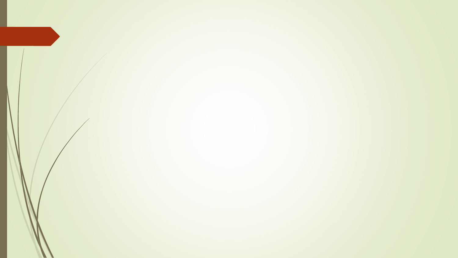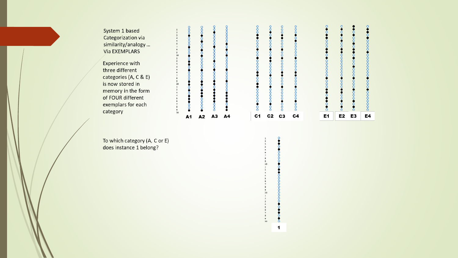System 1 based Categorization via similarity/analogy... Via EXEMPLARS

Experience with three different categories (A, C & E) is now stored in memory in the form of FOUR different exemplars for each category

| 1 2 3 4 5 6 7 8 9 10 1 2 3 4 5 6 7 8 9 20 1 2 3 4 5 6 7 8 9 30 |    | $\sim$ |    |
|----------------------------------------------------------------|----|--------|----|
|                                                                |    |        |    |
|                                                                |    |        |    |
|                                                                |    |        |    |
|                                                                |    |        |    |
|                                                                |    |        |    |
|                                                                |    |        |    |
|                                                                |    |        |    |
|                                                                |    |        |    |
|                                                                |    |        |    |
|                                                                | A1 |        | A4 |

To which category (A, C or E) does instance 1 belong?

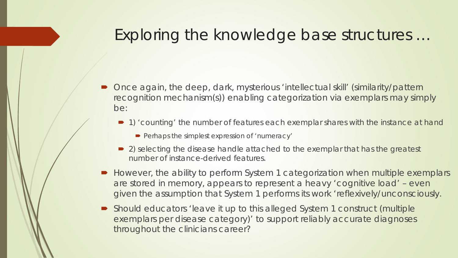- Once again, the deep, dark, mysterious 'intellectual skill' (similarity/pattern recognition mechanism(s)) enabling categorization via exemplars may simply be:
	- 1) 'counting' the number of features each exemplar shares with the instance at hand
		- Perhaps the simplest expression of 'numeracy'
	- 2) selecting the disease handle attached to the exemplar that has the greatest number of instance-derived features.
- However, the ability to perform System 1 categorization when multiple exemplars are stored in memory, appears to represent a heavy 'cognitive load' – even given the assumption that System 1 performs its work 'reflexively/unconsciously.
- Should educators 'leave it up to this alleged System 1 construct (multiple exemplars per disease category)' to support reliably accurate diagnoses throughout the clinicians career?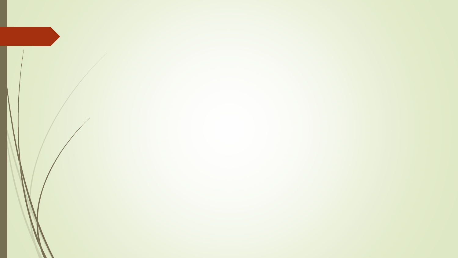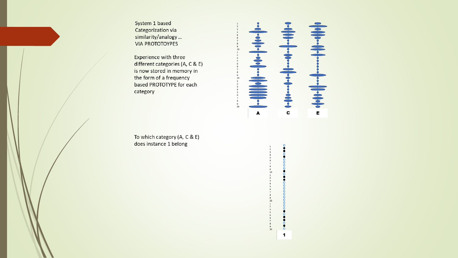

System 1 based Categorization via similarity/analogy... **VIA PROTOTOYPES** 

Experience with three different categories (A, C & E) is now stored in memory in the form of a frequency based PROTOTYPE for each category

To which category (A, C & E) does instance 1 belong





 $\begin{array}{c} 9 \\ 30 \end{array}$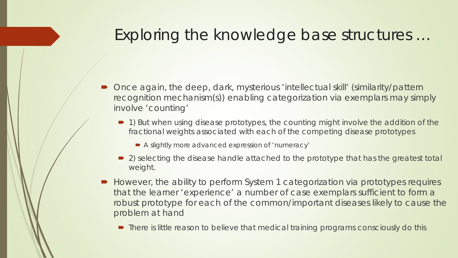- Once again, the deep, dark, mysterious 'intellectual skill' (similarity/pattern recognition mechanism(s)) enabling categorization via exemplars may simply involve 'counting'
	- 1) But when using disease prototypes, the counting might involve the addition of the fractional weights associated with each of the competing disease prototypes
		- A slightly more advanced expression of 'numeracy'
	- 2) selecting the disease handle attached to the prototype that has the greatest total weight.
- However, the ability to perform System 1 categorization via prototypes requires that the learner 'experience' a number of case exemplars sufficient to form a robust prototype for each of the common/important diseases likely to cause the problem at hand
	- There is little reason to believe that medical training programs consciously do this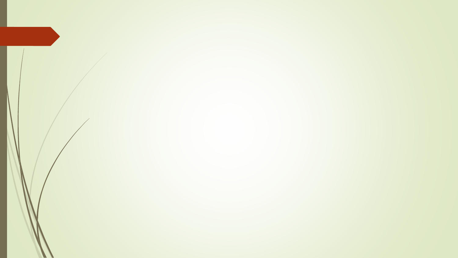